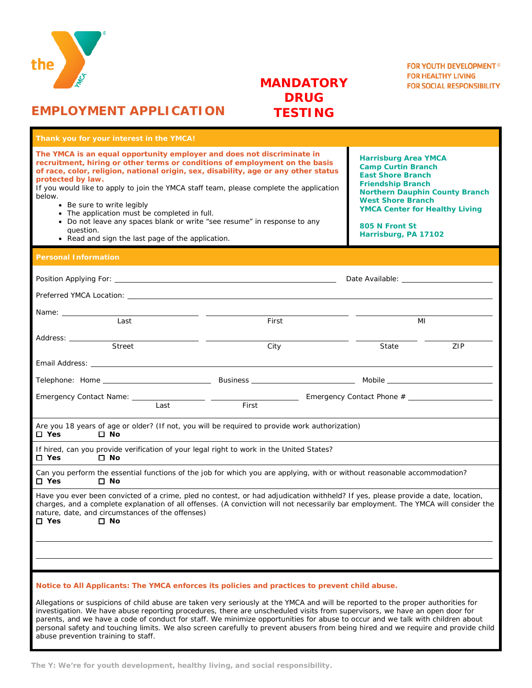

# **MANDATORY DRUG TESTING**

# **EMPLOYMENT APPLICATION**

| Thank you for your interest in the YMCA!                                                                                                                                                                                                                                                                                                                                                                                                                                                                                                                                                           |                                                                                                                                                                                                                                                                          |  |  |  |  |
|----------------------------------------------------------------------------------------------------------------------------------------------------------------------------------------------------------------------------------------------------------------------------------------------------------------------------------------------------------------------------------------------------------------------------------------------------------------------------------------------------------------------------------------------------------------------------------------------------|--------------------------------------------------------------------------------------------------------------------------------------------------------------------------------------------------------------------------------------------------------------------------|--|--|--|--|
| The YMCA is an equal opportunity employer and does not discriminate in<br>recruitment, hiring or other terms or conditions of employment on the basis<br>of race, color, religion, national origin, sex, disability, age or any other status<br>protected by law.<br>If you would like to apply to join the YMCA staff team, please complete the application<br>below.<br>• Be sure to write legibly<br>• The application must be completed in full.<br>• Do not leave any spaces blank or write "see resume" in response to any<br>question.<br>• Read and sign the last page of the application. | <b>Harrisburg Area YMCA</b><br><b>Camp Curtin Branch</b><br><b>East Shore Branch</b><br><b>Friendship Branch</b><br><b>Northern Dauphin County Branch</b><br><b>West Shore Branch</b><br><b>YMCA Center for Healthy Living</b><br>805 N Front St<br>Harrisburg, PA 17102 |  |  |  |  |
| <b>Personal Information</b>                                                                                                                                                                                                                                                                                                                                                                                                                                                                                                                                                                        |                                                                                                                                                                                                                                                                          |  |  |  |  |
|                                                                                                                                                                                                                                                                                                                                                                                                                                                                                                                                                                                                    | Date Available: The Contract of the Contract of the Contract of the Contract of the Contract of the Contract o                                                                                                                                                           |  |  |  |  |
|                                                                                                                                                                                                                                                                                                                                                                                                                                                                                                                                                                                                    |                                                                                                                                                                                                                                                                          |  |  |  |  |
|                                                                                                                                                                                                                                                                                                                                                                                                                                                                                                                                                                                                    |                                                                                                                                                                                                                                                                          |  |  |  |  |
| Last<br>First                                                                                                                                                                                                                                                                                                                                                                                                                                                                                                                                                                                      | MI                                                                                                                                                                                                                                                                       |  |  |  |  |
| Address: ______<br>Street<br>City                                                                                                                                                                                                                                                                                                                                                                                                                                                                                                                                                                  | State<br>ZIP                                                                                                                                                                                                                                                             |  |  |  |  |
| Email Address: The Contract of the Contract of the Contract of the Contract of the Contract of the Contract of the Contract of the Contract of the Contract of the Contract of the Contract of the Contract of the Contract of                                                                                                                                                                                                                                                                                                                                                                     |                                                                                                                                                                                                                                                                          |  |  |  |  |
|                                                                                                                                                                                                                                                                                                                                                                                                                                                                                                                                                                                                    |                                                                                                                                                                                                                                                                          |  |  |  |  |
| First<br>Last                                                                                                                                                                                                                                                                                                                                                                                                                                                                                                                                                                                      |                                                                                                                                                                                                                                                                          |  |  |  |  |
| Are you 18 years of age or older? (If not, you will be required to provide work authorization)<br>$\square$ Yes<br>$\square$ No                                                                                                                                                                                                                                                                                                                                                                                                                                                                    |                                                                                                                                                                                                                                                                          |  |  |  |  |
| If hired, can you provide verification of your legal right to work in the United States?<br>$\square$ Yes<br>$\square$ No                                                                                                                                                                                                                                                                                                                                                                                                                                                                          |                                                                                                                                                                                                                                                                          |  |  |  |  |
| Can you perform the essential functions of the job for which you are applying, with or without reasonable accommodation?<br>$\square$ Yes<br>$\square$ No                                                                                                                                                                                                                                                                                                                                                                                                                                          |                                                                                                                                                                                                                                                                          |  |  |  |  |
| Have you ever been convicted of a crime, pled no contest, or had adjudication withheld? If yes, please provide a date, location,<br>charges, and a complete explanation of all offenses. (A conviction will not necessarily bar employment. The YMCA will consider the<br>nature, date, and circumstances of the offenses)<br>□ No<br>□ Yes                                                                                                                                                                                                                                                        |                                                                                                                                                                                                                                                                          |  |  |  |  |
|                                                                                                                                                                                                                                                                                                                                                                                                                                                                                                                                                                                                    |                                                                                                                                                                                                                                                                          |  |  |  |  |
|                                                                                                                                                                                                                                                                                                                                                                                                                                                                                                                                                                                                    |                                                                                                                                                                                                                                                                          |  |  |  |  |
| Notice to All Applicants: The YMCA enforces its policies and practices to prevent child abuse.                                                                                                                                                                                                                                                                                                                                                                                                                                                                                                     |                                                                                                                                                                                                                                                                          |  |  |  |  |
| Allegations or suspicions of child abuse are taken very seriously at the YMCA and will be reported to the proper authorities for                                                                                                                                                                                                                                                                                                                                                                                                                                                                   |                                                                                                                                                                                                                                                                          |  |  |  |  |

investigation. We have abuse reporting procedures, there are unscheduled visits from supervisors, we have an open door for parents, and we have a code of conduct for staff. We minimize opportunities for abuse to occur and we talk with children about personal safety and touching limits. We also screen carefully to prevent abusers from being hired and we require and provide child abuse prevention training to staff.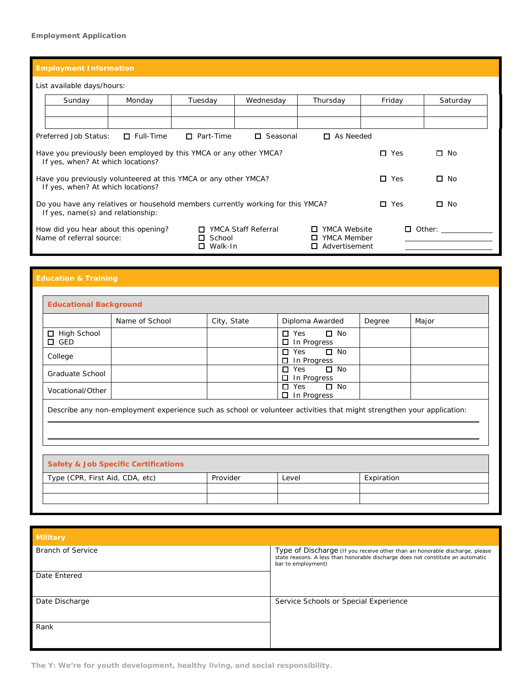## **Employment Application**

| List available days/hours:                                                                                                                                                                                     |                                                                                                                                                    |                  |                  |                 |                 |         |               |
|----------------------------------------------------------------------------------------------------------------------------------------------------------------------------------------------------------------|----------------------------------------------------------------------------------------------------------------------------------------------------|------------------|------------------|-----------------|-----------------|---------|---------------|
|                                                                                                                                                                                                                | Sunday                                                                                                                                             | Monday           | Tuesday          | Wednesday       | Thursday        | Friday  | Saturday      |
|                                                                                                                                                                                                                |                                                                                                                                                    |                  |                  |                 |                 |         |               |
|                                                                                                                                                                                                                |                                                                                                                                                    |                  |                  |                 |                 |         |               |
|                                                                                                                                                                                                                | Preferred Job Status:                                                                                                                              | $\Box$ Full-Time | $\Box$ Part-Time | $\Box$ Seasonal | As Needed<br>П. |         |               |
|                                                                                                                                                                                                                | $\square$ No<br>Have you previously been employed by this YMCA or any other YMCA?<br>$\Box$<br>Yes<br>If yes, when? At which locations?            |                  |                  |                 |                 |         |               |
| Have you previously volunteered at this YMCA or any other YMCA?<br>If yes, when? At which locations?                                                                                                           |                                                                                                                                                    |                  |                  |                 | $\Box$ Yes      | □<br>No |               |
|                                                                                                                                                                                                                | $\Box$<br>Do you have any relatives or household members currently working for this YMCA?<br>$\Box$ Yes<br>No<br>If yes, name(s) and relationship: |                  |                  |                 |                 |         |               |
| <b>YMCA Staff Referral</b><br>YMCA Website<br>How did you hear about this opening?<br>□<br>0<br>Name of referral source:<br>YMCA Member<br>$\Box$ School<br>$\Box$<br>Walk-In<br>Advertisement<br>П.<br>$\Box$ |                                                                                                                                                    |                  |                  |                 |                 |         | $\Box$ Other: |

|                                          | Name of School                                                                                                                                                           | City, State | Diploma Awarded                                          | Degree | Major |
|------------------------------------------|--------------------------------------------------------------------------------------------------------------------------------------------------------------------------|-------------|----------------------------------------------------------|--------|-------|
| <b>High School</b><br>$\Box$<br>GED<br>0 |                                                                                                                                                                          |             | $\Box$ No<br>$\Box$ Yes<br>In Progress                   |        |       |
| College                                  |                                                                                                                                                                          |             | $\Box$ No<br>$\Box$<br>Yes<br>In Progress<br>п           |        |       |
|                                          |                                                                                                                                                                          |             | $\Box$ No<br>Yes<br>$\Box$                               |        |       |
| Graduate School                          |                                                                                                                                                                          |             | 0                                                        |        |       |
| Vocational/Other                         |                                                                                                                                                                          |             | In Progress<br>Yes<br>$\Box$ No<br>□<br>In Progress<br>□ |        |       |
|                                          | Describe any non-employment experience such as school or volunteer activities that might strengthen your application:<br><b>Safety &amp; Job Specific Certifications</b> |             |                                                          |        |       |

| <b>Military</b>          |                                                                                                                                                                                      |
|--------------------------|--------------------------------------------------------------------------------------------------------------------------------------------------------------------------------------|
| <b>Branch of Service</b> | Type of Discharge (If you receive other than an honorable discharge, please<br>state reasons. A less than honorable discharge does not constitute an automatic<br>bar to employment) |
| Date Entered             |                                                                                                                                                                                      |
| Date Discharge           | Service Schools or Special Experience                                                                                                                                                |
| Rank                     |                                                                                                                                                                                      |

**The Y: We're for youth development, healthy living, and social responsibility.**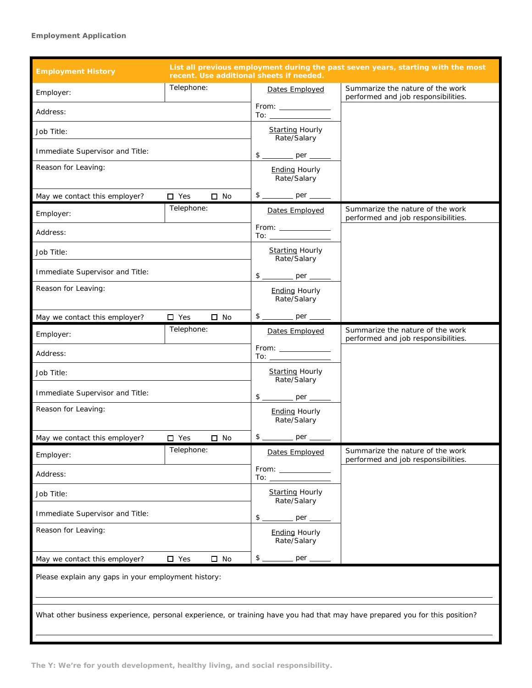## **Employment Application**

| <b>Employment History</b>                                                                                                   |               |                                     | recent. Use additional sheets if needed.                                                                                                                                                                                                           | List all previous employment during the past seven years, starting with the most |  |
|-----------------------------------------------------------------------------------------------------------------------------|---------------|-------------------------------------|----------------------------------------------------------------------------------------------------------------------------------------------------------------------------------------------------------------------------------------------------|----------------------------------------------------------------------------------|--|
| Employer:                                                                                                                   | Telephone:    |                                     | Dates Employed                                                                                                                                                                                                                                     | Summarize the nature of the work<br>performed and job responsibilities.          |  |
| Address:                                                                                                                    |               |                                     |                                                                                                                                                                                                                                                    |                                                                                  |  |
| Job Title:                                                                                                                  |               |                                     | <b>Starting Hourly</b><br>Rate/Salary                                                                                                                                                                                                              |                                                                                  |  |
| Immediate Supervisor and Title:                                                                                             |               |                                     | $$$ _________ per ____                                                                                                                                                                                                                             |                                                                                  |  |
| Reason for Leaving:                                                                                                         |               |                                     | <b>Ending Hourly</b><br>Rate/Salary                                                                                                                                                                                                                |                                                                                  |  |
| May we contact this employer?                                                                                               | $\Box$ Yes    | $\square$ No                        | $$$ _________ per ____                                                                                                                                                                                                                             |                                                                                  |  |
| Employer:                                                                                                                   | Telephone:    |                                     | Dates Employed                                                                                                                                                                                                                                     | Summarize the nature of the work<br>performed and job responsibilities.          |  |
| Address:                                                                                                                    |               |                                     | $From: ________$<br>To: $\_\_$                                                                                                                                                                                                                     |                                                                                  |  |
| Job Title:                                                                                                                  |               |                                     | <b>Starting Hourly</b><br>Rate/Salary                                                                                                                                                                                                              |                                                                                  |  |
| Immediate Supervisor and Title:                                                                                             |               |                                     |                                                                                                                                                                                                                                                    |                                                                                  |  |
| Reason for Leaving:                                                                                                         |               |                                     | <b>Ending Hourly</b><br>Rate/Salary                                                                                                                                                                                                                |                                                                                  |  |
| May we contact this employer?                                                                                               | $\Box$ Yes    | $\square$ No                        |                                                                                                                                                                                                                                                    |                                                                                  |  |
| Employer:                                                                                                                   | Telephone:    |                                     | Dates Employed                                                                                                                                                                                                                                     | Summarize the nature of the work<br>performed and job responsibilities.          |  |
| Address:                                                                                                                    |               |                                     | $From: ________$<br>To: and the contract of the contract of the contract of the contract of the contract of the contract of the contract of the contract of the contract of the contract of the contract of the contract of the contract of the co |                                                                                  |  |
| Job Title:                                                                                                                  |               |                                     | <b>Starting Hourly</b><br>Rate/Salary                                                                                                                                                                                                              |                                                                                  |  |
| Immediate Supervisor and Title:                                                                                             |               |                                     | $\frac{1}{2}$<br>$\rho$ er                                                                                                                                                                                                                         |                                                                                  |  |
| Reason for Leaving:                                                                                                         |               | <b>Ending Hourly</b><br>Rate/Salary |                                                                                                                                                                                                                                                    |                                                                                  |  |
| May we contact this employer?                                                                                               | $\Box$ Yes    | $\Box$ No                           | $$-$<br>_____ per _                                                                                                                                                                                                                                |                                                                                  |  |
| Employer:                                                                                                                   | Telephone:    |                                     | Dates Employed                                                                                                                                                                                                                                     | Summarize the nature of the work<br>performed and job responsibilities.          |  |
| Address:                                                                                                                    |               | To: ____________                    |                                                                                                                                                                                                                                                    |                                                                                  |  |
| Job Title:                                                                                                                  |               |                                     | <b>Starting Hourly</b><br>Rate/Salary                                                                                                                                                                                                              |                                                                                  |  |
| Immediate Supervisor and Title:                                                                                             |               |                                     | \$<br>per _                                                                                                                                                                                                                                        |                                                                                  |  |
| Reason for Leaving:                                                                                                         |               |                                     | <b>Ending Hourly</b><br>Rate/Salary                                                                                                                                                                                                                |                                                                                  |  |
| May we contact this employer?                                                                                               | $\square$ Yes | $\square$ No                        | $\frac{1}{2}$<br>_ per _                                                                                                                                                                                                                           |                                                                                  |  |
| Please explain any gaps in your employment history:                                                                         |               |                                     |                                                                                                                                                                                                                                                    |                                                                                  |  |
| What other business experience, personal experience, or training have you had that may have prepared you for this position? |               |                                     |                                                                                                                                                                                                                                                    |                                                                                  |  |